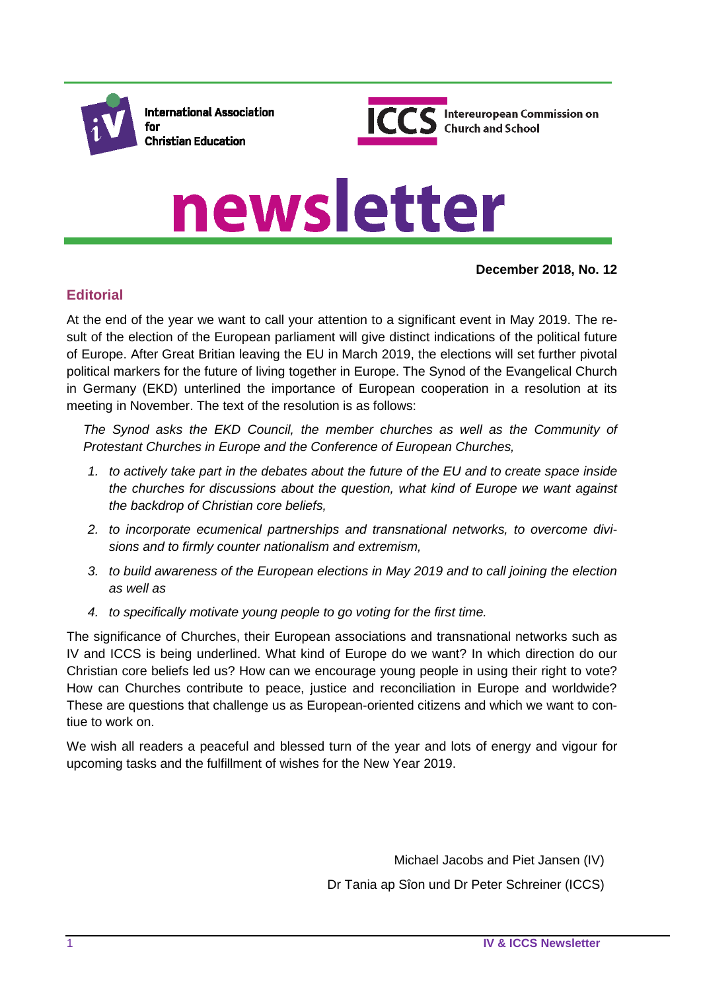



# newsletter

#### **December 2018, No. 12**

## **Editorial**

At the end of the year we want to call your attention to a significant event in May 2019. The result of the election of the European parliament will give distinct indications of the political future of Europe. After Great Britian leaving the EU in March 2019, the elections will set further pivotal political markers for the future of living together in Europe. The Synod of the Evangelical Church in Germany (EKD) unterlined the importance of European cooperation in a resolution at its meeting in November. The text of the resolution is as follows:

The Synod asks the EKD Council, the member churches as well as the Community of *Protestant Churches in Europe and the Conference of European Churches,*

- *1. to actively take part in the debates about the future of the EU and to create space inside the churches for discussions about the question, what kind of Europe we want against the backdrop of Christian core beliefs,*
- *2. to incorporate ecumenical partnerships and transnational networks, to overcome divisions and to firmly counter nationalism and extremism,*
- *3. to build awareness of the European elections in May 2019 and to call joining the election as well as*
- *4. to specifically motivate young people to go voting for the first time.*

The significance of Churches, their European associations and transnational networks such as IV and ICCS is being underlined. What kind of Europe do we want? In which direction do our Christian core beliefs led us? How can we encourage young people in using their right to vote? How can Churches contribute to peace, justice and reconciliation in Europe and worldwide? These are questions that challenge us as European-oriented citizens and which we want to contiue to work on.

We wish all readers a peaceful and blessed turn of the year and lots of energy and vigour for upcoming tasks and the fulfillment of wishes for the New Year 2019.

> Michael Jacobs and Piet Jansen (IV) Dr Tania ap Sîon und Dr Peter Schreiner (ICCS)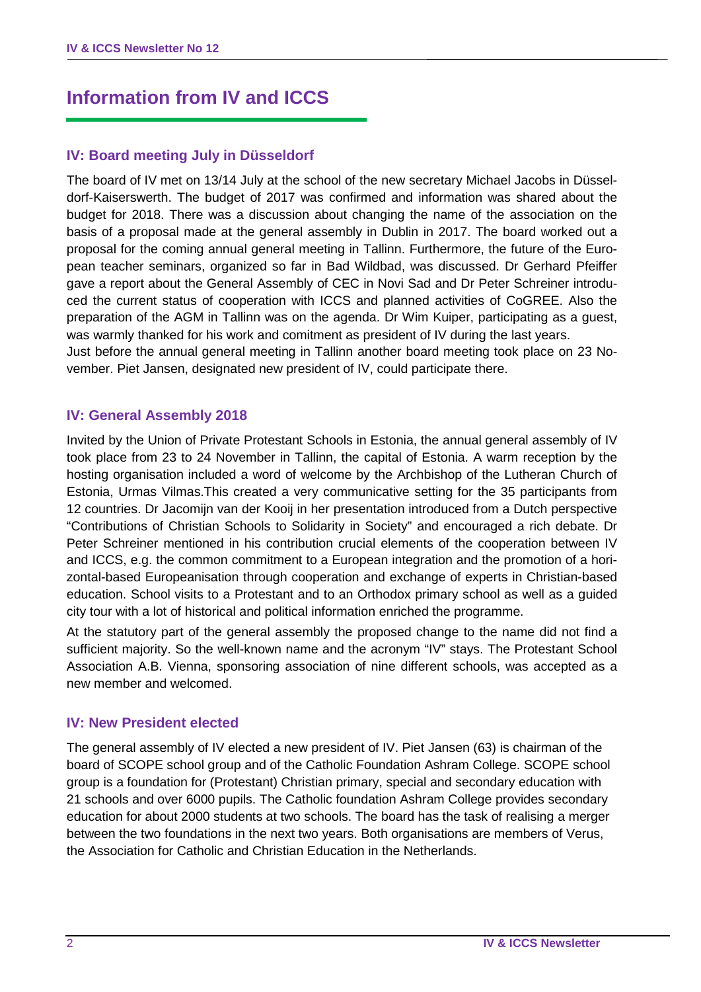# **Information from IV and ICCS**

## **IV: Board meeting July in Düsseldorf**

The board of IV met on 13/14 July at the school of the new secretary Michael Jacobs in Düsseldorf-Kaiserswerth. The budget of 2017 was confirmed and information was shared about the budget for 2018. There was a discussion about changing the name of the association on the basis of a proposal made at the general assembly in Dublin in 2017. The board worked out a proposal for the coming annual general meeting in Tallinn. Furthermore, the future of the European teacher seminars, organized so far in Bad Wildbad, was discussed. Dr Gerhard Pfeiffer gave a report about the General Assembly of CEC in Novi Sad and Dr Peter Schreiner introduced the current status of cooperation with ICCS and planned activities of CoGREE. Also the preparation of the AGM in Tallinn was on the agenda. Dr Wim Kuiper, participating as a guest, was warmly thanked for his work and comitment as president of IV during the last years.

Just before the annual general meeting in Tallinn another board meeting took place on 23 November. Piet Jansen, designated new president of IV, could participate there.

### **IV: General Assembly 2018**

Invited by the Union of Private Protestant Schools in Estonia, the annual general assembly of IV took place from 23 to 24 November in Tallinn, the capital of Estonia. A warm reception by the hosting organisation included a word of welcome by the Archbishop of the Lutheran Church of Estonia, Urmas Vilmas.This created a very communicative setting for the 35 participants from 12 countries. Dr Jacomijn van der Kooij in her presentation introduced from a Dutch perspective "Contributions of Christian Schools to Solidarity in Society" and encouraged a rich debate. Dr Peter Schreiner mentioned in his contribution crucial elements of the cooperation between IV and ICCS, e.g. the common commitment to a European integration and the promotion of a horizontal-based Europeanisation through cooperation and exchange of experts in Christian-based education. School visits to a Protestant and to an Orthodox primary school as well as a guided city tour with a lot of historical and political information enriched the programme.

At the statutory part of the general assembly the proposed change to the name did not find a sufficient majority. So the well-known name and the acronym "IV" stays. The Protestant School Association A.B. Vienna, sponsoring association of nine different schools, was accepted as a new member and welcomed.

### **IV: New President elected**

The general assembly of IV elected a new president of IV. Piet Jansen (63) is chairman of the board of SCOPE school group and of the Catholic Foundation Ashram College. SCOPE school group is a foundation for (Protestant) Christian primary, special and secondary education with 21 schools and over 6000 pupils. The Catholic foundation Ashram College provides secondary education for about 2000 students at two schools. The board has the task of realising a merger between the two foundations in the next two years. Both organisations are members of Verus, the Association for Catholic and Christian Education in the Netherlands.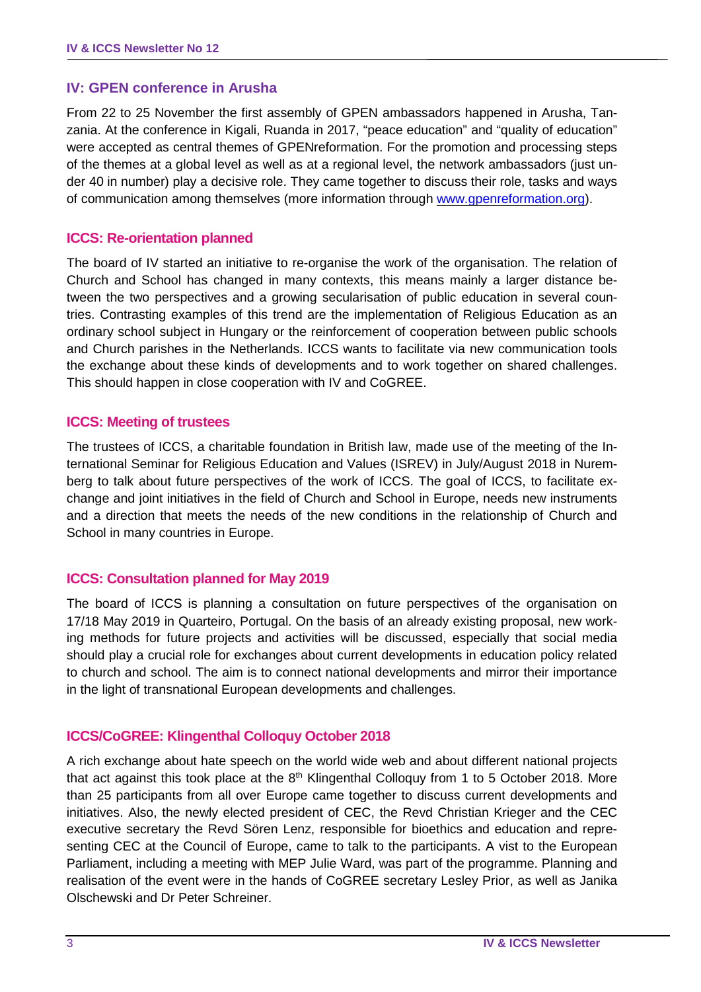### **IV: GPEN conference in Arusha**

From 22 to 25 November the first assembly of GPEN ambassadors happened in Arusha, Tanzania. At the conference in Kigali, Ruanda in 2017, "peace education" and "quality of education" were accepted as central themes of GPENreformation. For the promotion and processing steps of the themes at a global level as well as at a regional level, the network ambassadors (just under 40 in number) play a decisive role. They came together to discuss their role, tasks and ways of communication among themselves (more information through [www.gpenreformation.org\)](http://www.gpenreformation.org/).

### **ICCS: Re-orientation planned**

The board of IV started an initiative to re-organise the work of the organisation. The relation of Church and School has changed in many contexts, this means mainly a larger distance between the two perspectives and a growing secularisation of public education in several countries. Contrasting examples of this trend are the implementation of Religious Education as an ordinary school subject in Hungary or the reinforcement of cooperation between public schools and Church parishes in the Netherlands. ICCS wants to facilitate via new communication tools the exchange about these kinds of developments and to work together on shared challenges. This should happen in close cooperation with IV and CoGREE.

### **ICCS: Meeting of trustees**

The trustees of ICCS, a charitable foundation in British law, made use of the meeting of the International Seminar for Religious Education and Values (ISREV) in July/August 2018 in Nuremberg to talk about future perspectives of the work of ICCS. The goal of ICCS, to facilitate exchange and joint initiatives in the field of Church and School in Europe, needs new instruments and a direction that meets the needs of the new conditions in the relationship of Church and School in many countries in Europe.

### **ICCS: Consultation planned for May 2019**

The board of ICCS is planning a consultation on future perspectives of the organisation on 17/18 May 2019 in Quarteiro, Portugal. On the basis of an already existing proposal, new working methods for future projects and activities will be discussed, especially that social media should play a crucial role for exchanges about current developments in education policy related to church and school. The aim is to connect national developments and mirror their importance in the light of transnational European developments and challenges.

### **ICCS/CoGREE: Klingenthal Colloquy October 2018**

A rich exchange about hate speech on the world wide web and about different national projects that act against this took place at the  $8<sup>th</sup>$  Klingenthal Colloquy from 1 to 5 October 2018. More than 25 participants from all over Europe came together to discuss current developments and initiatives. Also, the newly elected president of CEC, the Revd Christian Krieger and the CEC executive secretary the Revd Sören Lenz, responsible for bioethics and education and representing CEC at the Council of Europe, came to talk to the participants. A vist to the European Parliament, including a meeting with MEP Julie Ward, was part of the programme. Planning and realisation of the event were in the hands of CoGREE secretary Lesley Prior, as well as Janika Olschewski and Dr Peter Schreiner.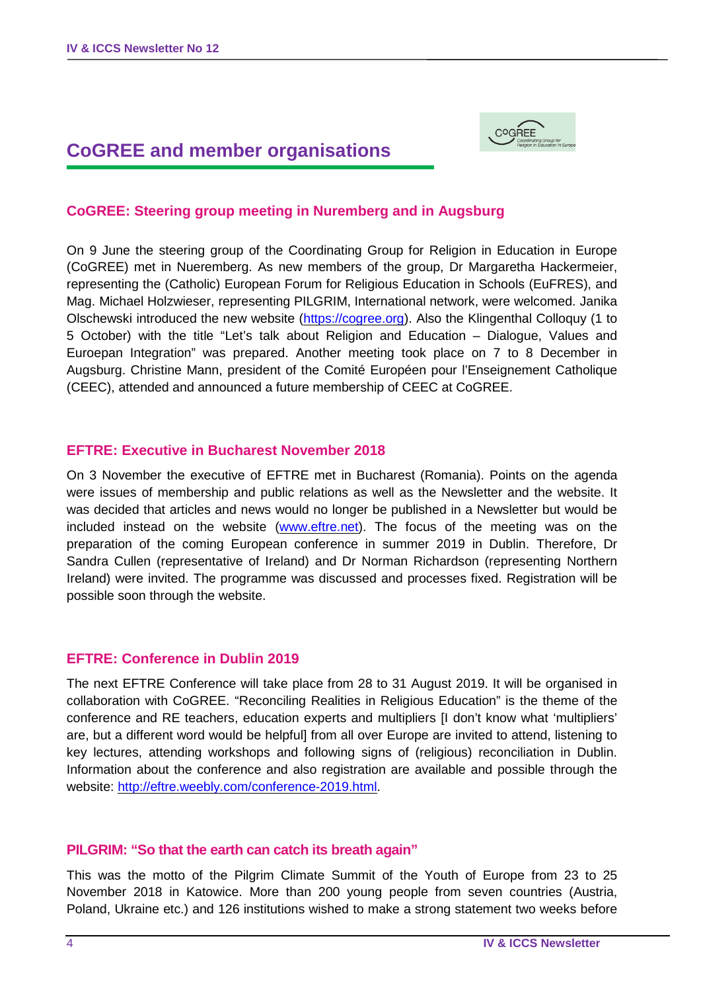# **CoGREE and member organisations**



## **CoGREE: Steering group meeting in Nuremberg and in Augsburg**

On 9 June the steering group of the Coordinating Group for Religion in Education in Europe (CoGREE) met in Nueremberg. As new members of the group, Dr Margaretha Hackermeier, representing the (Catholic) European Forum for Religious Education in Schools (EuFRES), and Mag. Michael Holzwieser, representing PILGRIM, International network, were welcomed. Janika Olschewski introduced the new website [\(https://cogree.org\)](https://cogree.org/). Also the Klingenthal Colloquy (1 to 5 October) with the title "Let's talk about Religion and Education – Dialogue, Values and Euroepan Integration" was prepared. Another meeting took place on 7 to 8 December in Augsburg. Christine Mann, president of the Comité Européen pour l'Enseignement Catholique (CEEC), attended and announced a future membership of CEEC at CoGREE.

#### **EFTRE: Executive in Bucharest November 2018**

On 3 November the executive of EFTRE met in Bucharest (Romania). Points on the agenda were issues of membership and public relations as well as the Newsletter and the website. It was decided that articles and news would no longer be published in a Newsletter but would be included instead on the website [\(www.eftre.net\)](http://www.eftre.net/). The focus of the meeting was on the preparation of the coming European conference in summer 2019 in Dublin. Therefore, Dr Sandra Cullen (representative of Ireland) and Dr Norman Richardson (representing Northern Ireland) were invited. The programme was discussed and processes fixed. Registration will be possible soon through the website.

### **EFTRE: Conference in Dublin 2019**

The next EFTRE Conference will take place from 28 to 31 August 2019. It will be organised in collaboration with CoGREE. "Reconciling Realities in Religious Education" is the theme of the conference and RE teachers, education experts and multipliers [I don't know what 'multipliers' are, but a different word would be helpful] from all over Europe are invited to attend, listening to key lectures, attending workshops and following signs of (religious) reconciliation in Dublin. Information about the conference and also registration are available and possible through the website: [http://eftre.weebly.com/conference-2019.html.](http://eftre.weebly.com/conference-2019.html)

#### **PILGRIM: "So that the earth can catch its breath again"**

This was the motto of the Pilgrim Climate Summit of the Youth of Europe from 23 to 25 November 2018 in Katowice. More than 200 young people from seven countries (Austria, Poland, Ukraine etc.) and 126 institutions wished to make a strong statement two weeks before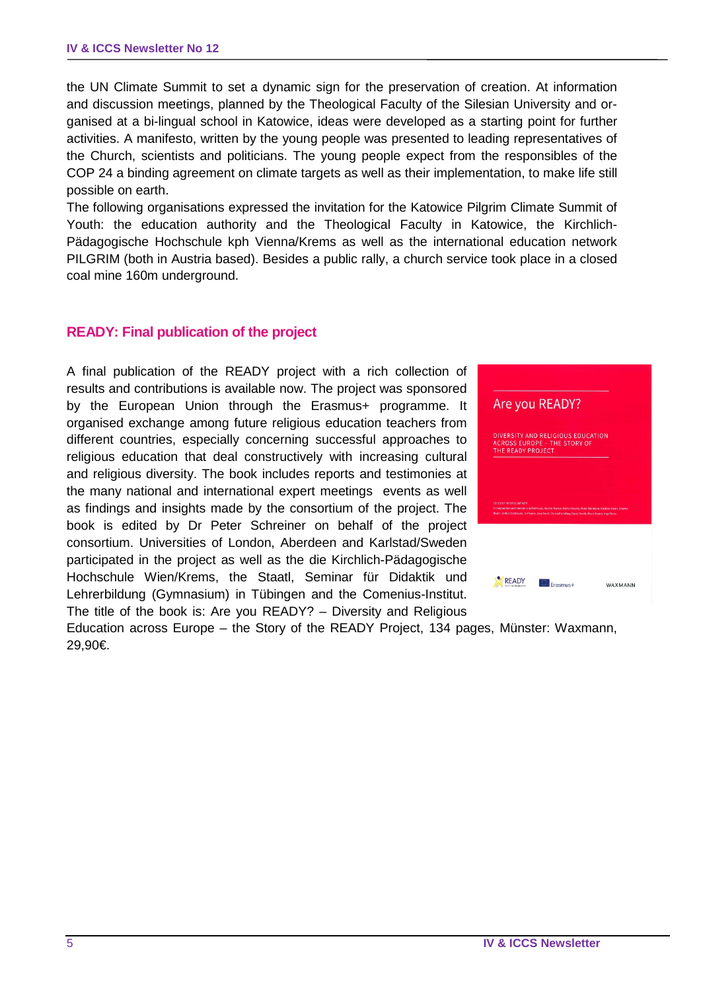the UN Climate Summit to set a dynamic sign for the preservation of creation. At information and discussion meetings, planned by the Theological Faculty of the Silesian University and organised at a bi-lingual school in Katowice, ideas were developed as a starting point for further activities. A manifesto, written by the young people was presented to leading representatives of the Church, scientists and politicians. The young people expect from the responsibles of the COP 24 a binding agreement on climate targets as well as their implementation, to make life still possible on earth.

The following organisations expressed the invitation for the Katowice Pilgrim Climate Summit of Youth: the education authority and the Theological Faculty in Katowice, the Kirchlich-Pädagogische Hochschule kph Vienna/Krems as well as the international education network PILGRIM (both in Austria based). Besides a public rally, a church service took place in a closed coal mine 160m underground.

### **READY: Final publication of the project**

A final publication of the READY project with a rich collection of results and contributions is available now. The project was sponsored by the European Union through the Erasmus+ programme. It organised exchange among future religious education teachers from different countries, especially concerning successful approaches to religious education that deal constructively with increasing cultural and religious diversity. The book includes reports and testimonies at the many national and international expert meetings events as well as findings and insights made by the consortium of the project. The book is edited by Dr Peter Schreiner on behalf of the project consortium. Universities of London, Aberdeen and Karlstad/Sweden participated in the project as well as the die Kirchlich-Pädagogische Hochschule Wien/Krems, the Staatl, Seminar für Didaktik und Lehrerbildung (Gymnasium) in Tübingen and the Comenius-Institut. The title of the book is: Are you READY? – Diversity and Religious



Education across Europe – the Story of the READY Project, 134 pages, Münster: Waxmann, 29,90€.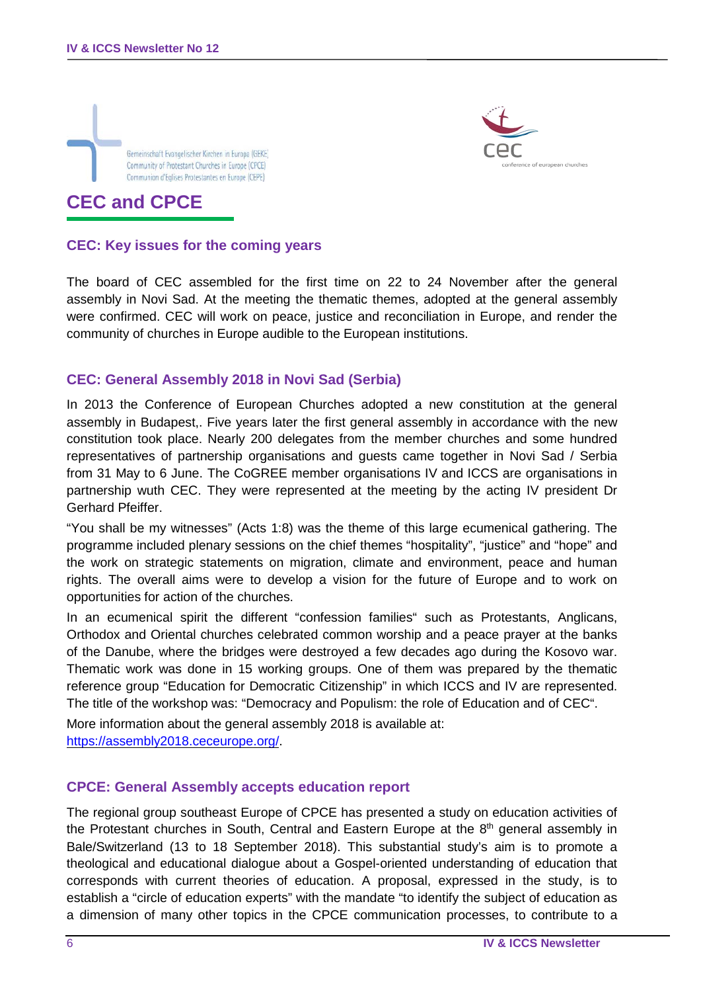



# **CEC and CPCE**

#### **CEC: Key issues for the coming years**

The board of CEC assembled for the first time on 22 to 24 November after the general assembly in Novi Sad. At the meeting the thematic themes, adopted at the general assembly were confirmed. CEC will work on peace, justice and reconciliation in Europe, and render the community of churches in Europe audible to the European institutions.

### **CEC: General Assembly 2018 in Novi Sad (Serbia)**

In 2013 the Conference of European Churches adopted a new constitution at the general assembly in Budapest,. Five years later the first general assembly in accordance with the new constitution took place. Nearly 200 delegates from the member churches and some hundred representatives of partnership organisations and guests came together in Novi Sad / Serbia from 31 May to 6 June. The CoGREE member organisations IV and ICCS are organisations in partnership wuth CEC. They were represented at the meeting by the acting IV president Dr Gerhard Pfeiffer.

"You shall be my witnesses" (Acts 1:8) was the theme of this large ecumenical gathering. The programme included plenary sessions on the chief themes "hospitality", "justice" and "hope" and the work on strategic statements on migration, climate and environment, peace and human rights. The overall aims were to develop a vision for the future of Europe and to work on opportunities for action of the churches.

In an ecumenical spirit the different "confession families" such as Protestants, Anglicans, Orthodox and Oriental churches celebrated common worship and a peace prayer at the banks of the Danube, where the bridges were destroyed a few decades ago during the Kosovo war. Thematic work was done in 15 working groups. One of them was prepared by the thematic reference group "Education for Democratic Citizenship" in which ICCS and IV are represented. The title of the workshop was: "Democracy and Populism: the role of Education and of CEC".

More information about the general assembly 2018 is available at: [https://assembly2018.ceceurope.org/.](https://assembly2018.ceceurope.org/)

#### **CPCE: General Assembly accepts education report**

The regional group southeast Europe of CPCE has presented a study on education activities of the Protestant churches in South, Central and Eastern Europe at the  $8<sup>th</sup>$  general assembly in Bale/Switzerland (13 to 18 September 2018). This substantial study's aim is to promote a theological and educational dialogue about a Gospel-oriented understanding of education that corresponds with current theories of education. A proposal, expressed in the study, is to establish a "circle of education experts" with the mandate "to identify the subject of education as a dimension of many other topics in the CPCE communication processes, to contribute to a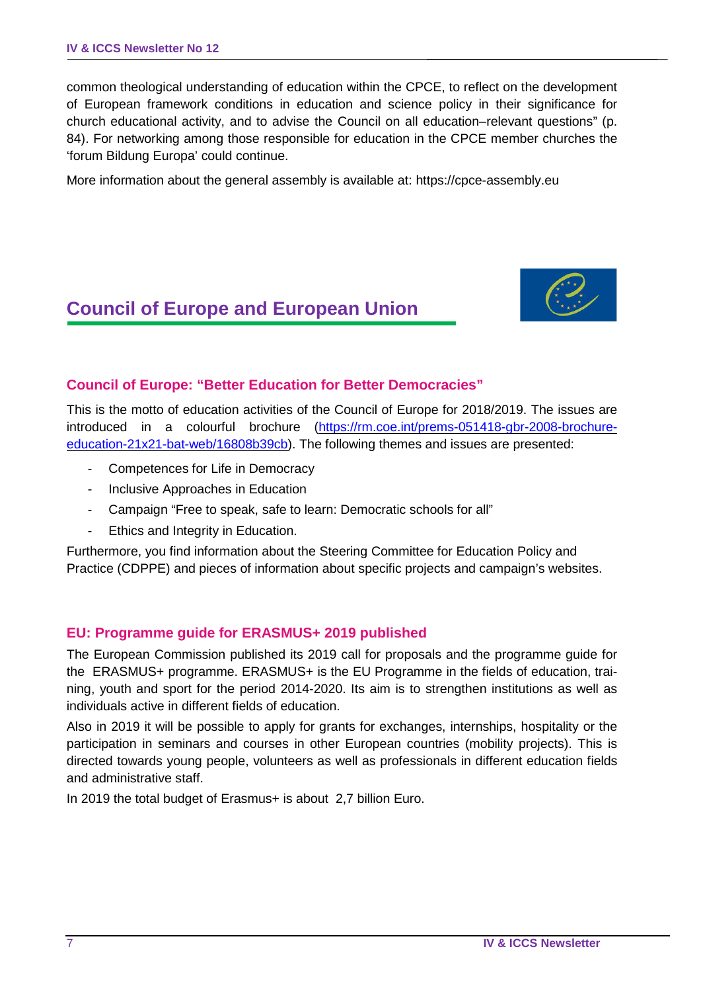common theological understanding of education within the CPCE, to reflect on the development of European framework conditions in education and science policy in their significance for church educational activity, and to advise the Council on all education–relevant questions" (p. 84). For networking among those responsible for education in the CPCE member churches the 'forum Bildung Europa' could continue.

More information about the general assembly is available at: https://cpce-assembly.eu

# **Council of Europe and European Union**



## **Council of Europe: "Better Education for Better Democracies"**

This is the motto of education activities of the Council of Europe for 2018/2019. The issues are introduced in a colourful brochure [\(https://rm.coe.int/prems-051418-gbr-2008-brochure](https://rm.coe.int/prems-051418-gbr-2008-brochure-education-21x21-bat-web/16808b39cb)[education-21x21-bat-web/16808b39cb\)](https://rm.coe.int/prems-051418-gbr-2008-brochure-education-21x21-bat-web/16808b39cb). The following themes and issues are presented:

- Competences for Life in Democracy
- Inclusive Approaches in Education
- Campaign "Free to speak, safe to learn: Democratic schools for all"
- Ethics and Integrity in Education.

Furthermore, you find information about the Steering Committee for Education Policy and Practice (CDPPE) and pieces of information about specific projects and campaign's websites.

### **EU: Programme guide for ERASMUS+ 2019 published**

The European Commission published its 2019 call for proposals and the programme guide for the ERASMUS+ programme. ERASMUS+ is the EU Programme in the fields of education, training, youth and sport for the period 2014-2020. Its aim is to strengthen institutions as well as individuals active in different fields of education.

Also in 2019 it will be possible to apply for grants for exchanges, internships, hospitality or the participation in seminars and courses in other European countries (mobility projects). This is directed towards young people, volunteers as well as professionals in different education fields and administrative staff.

In 2019 the total budget of Erasmus+ is about 2,7 billion Euro.